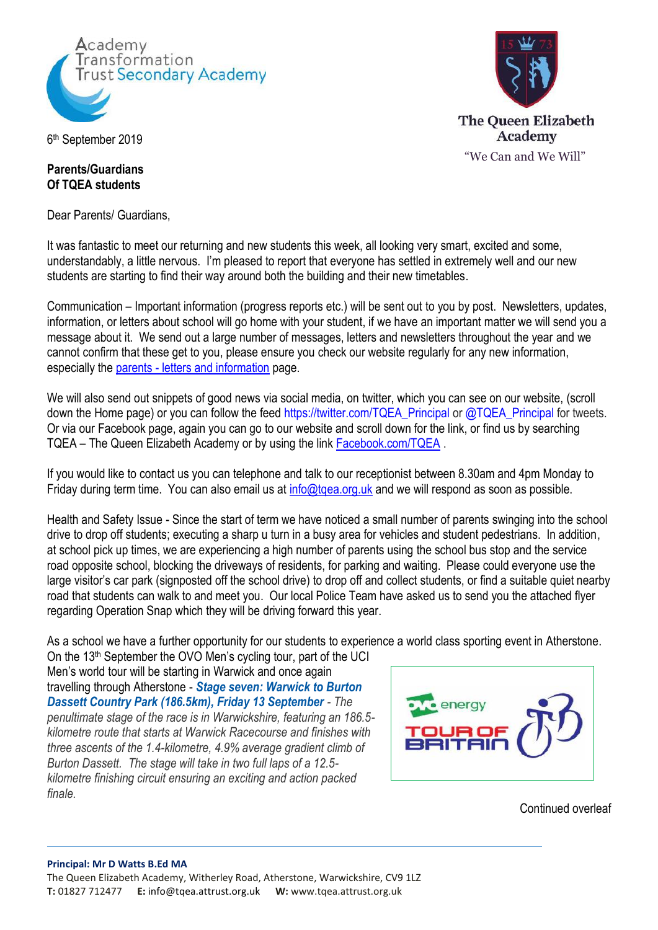



## 6 th September 2019

## **Parents/Guardians Of TQEA students**

Dear Parents/ Guardians,

It was fantastic to meet our returning and new students this week, all looking very smart, excited and some, understandably, a little nervous. I'm pleased to report that everyone has settled in extremely well and our new students are starting to find their way around both the building and their new timetables.

Communication – Important information (progress reports etc.) will be sent out to you by post. Newsletters, updates, information, or letters about school will go home with your student, if we have an important matter we will send you a message about it. We send out a large number of messages, letters and newsletters throughout the year and we cannot confirm that these get to you, please ensure you check our website regularly for any new information, especially the parents - letters [and information](http://tqea.attrust.org.uk/parents/letters-to-parents/) page.

We will also send out snippets of good news via social media, on twitter, which you can see on our website, (scroll down the Home page) or you can follow the feed [https://twitter.com/TQEA\\_Principal](https://twitter.com/TQEA_Principal) or @TQEA\_Principal for tweets. Or via our Facebook page, again you can go to our website and scroll down for the link, or find us by searching TQEA – The Queen Elizabeth Academy or by using the link [Facebook.com/TQEA](https://www.facebook.com/groups/1769515883351228/) .

If you would like to contact us you can telephone and talk to our receptionist between 8.30am and 4pm Monday to Friday during term time. You can also email us at info@tgea.org.uk and we will respond as soon as possible.

Health and Safety Issue - Since the start of term we have noticed a small number of parents swinging into the school drive to drop off students; executing a sharp u turn in a busy area for vehicles and student pedestrians. In addition, at school pick up times, we are experiencing a high number of parents using the school bus stop and the service road opposite school, blocking the driveways of residents, for parking and waiting. Please could everyone use the large visitor's car park (signposted off the school drive) to drop off and collect students, or find a suitable quiet nearby road that students can walk to and meet you. Our local Police Team have asked us to send you the attached flyer regarding Operation Snap which they will be driving forward this year.

As a school we have a further opportunity for our students to experience a world class sporting event in Atherstone.

On the 13th September the OVO Men's cycling tour, part of the UCI Men's world tour will be starting in Warwick and once again travelling through Atherstone - *[Stage seven: Warwick to Burton](https://www.tourofbritain.co.uk/stages/stage-seven)  [Dassett Country Park \(186.5km\), Friday 13 September](https://www.tourofbritain.co.uk/stages/stage-seven) - The penultimate stage of the race is in Warwickshire, featuring an 186.5 kilometre route that starts at Warwick Racecourse and finishes with three ascents of the 1.4-kilometre, 4.9% average gradient climb of Burton Dassett. The stage will take in two full laps of a 12.5 kilometre finishing circuit ensuring an exciting and action packed finale.*



Continued overleaf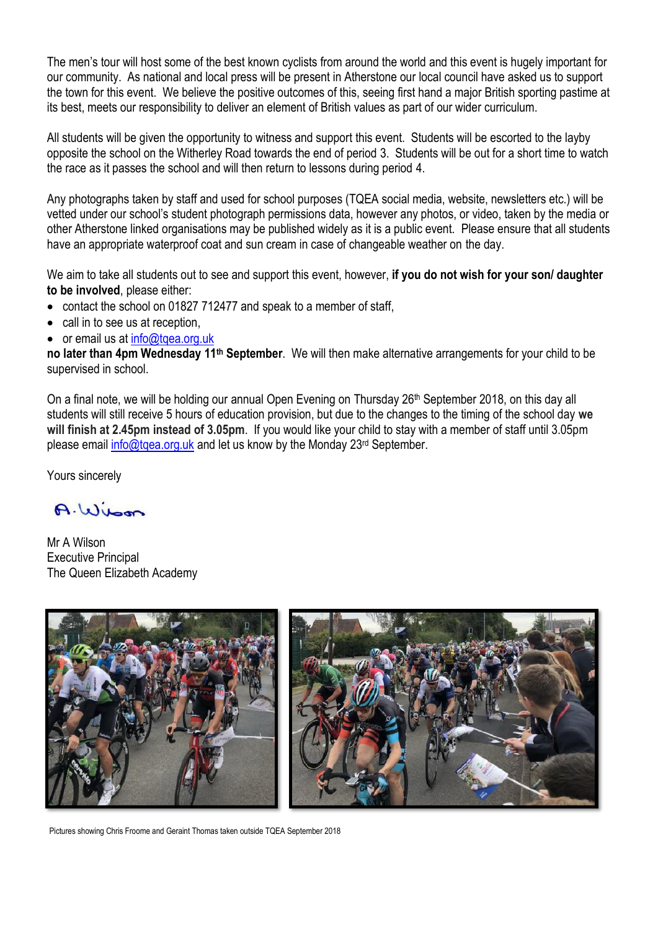The men's tour will host some of the best known cyclists from around the world and this event is hugely important for our community. As national and local press will be present in Atherstone our local council have asked us to support the town for this event. We believe the positive outcomes of this, seeing first hand a major British sporting pastime at its best, meets our responsibility to deliver an element of British values as part of our wider curriculum.

All students will be given the opportunity to witness and support this event. Students will be escorted to the layby opposite the school on the Witherley Road towards the end of period 3. Students will be out for a short time to watch the race as it passes the school and will then return to lessons during period 4.

Any photographs taken by staff and used for school purposes (TQEA social media, website, newsletters etc.) will be vetted under our school's student photograph permissions data, however any photos, or video, taken by the media or other Atherstone linked organisations may be published widely as it is a public event. Please ensure that all students have an appropriate waterproof coat and sun cream in case of changeable weather on the day.

We aim to take all students out to see and support this event, however, **if you do not wish for your son/ daughter to be involved**, please either:

• contact the school on 01827 712477 and speak to a member of staff.

- call in to see us at reception,
- or email us at info@tgea.org.uk

**no later than 4pm Wednesday 11<sup>th</sup> September**. We will then make alternative arrangements for your child to be supervised in school.

On a final note, we will be holding our annual Open Evening on Thursday 26<sup>th</sup> September 2018, on this day all students will still receive 5 hours of education provision, but due to the changes to the timing of the school day **we will finish at 2.45pm instead of 3.05pm**. If you would like your child to stay with a member of staff until 3.05pm please email info@tgea.org.uk and let us know by the Monday 23rd September.

Yours sincerely

A. Wilson

Mr A Wilson Executive Principal The Queen Elizabeth Academy



Pictures showing Chris Froome and Geraint Thomas taken outside TQEA September 2018